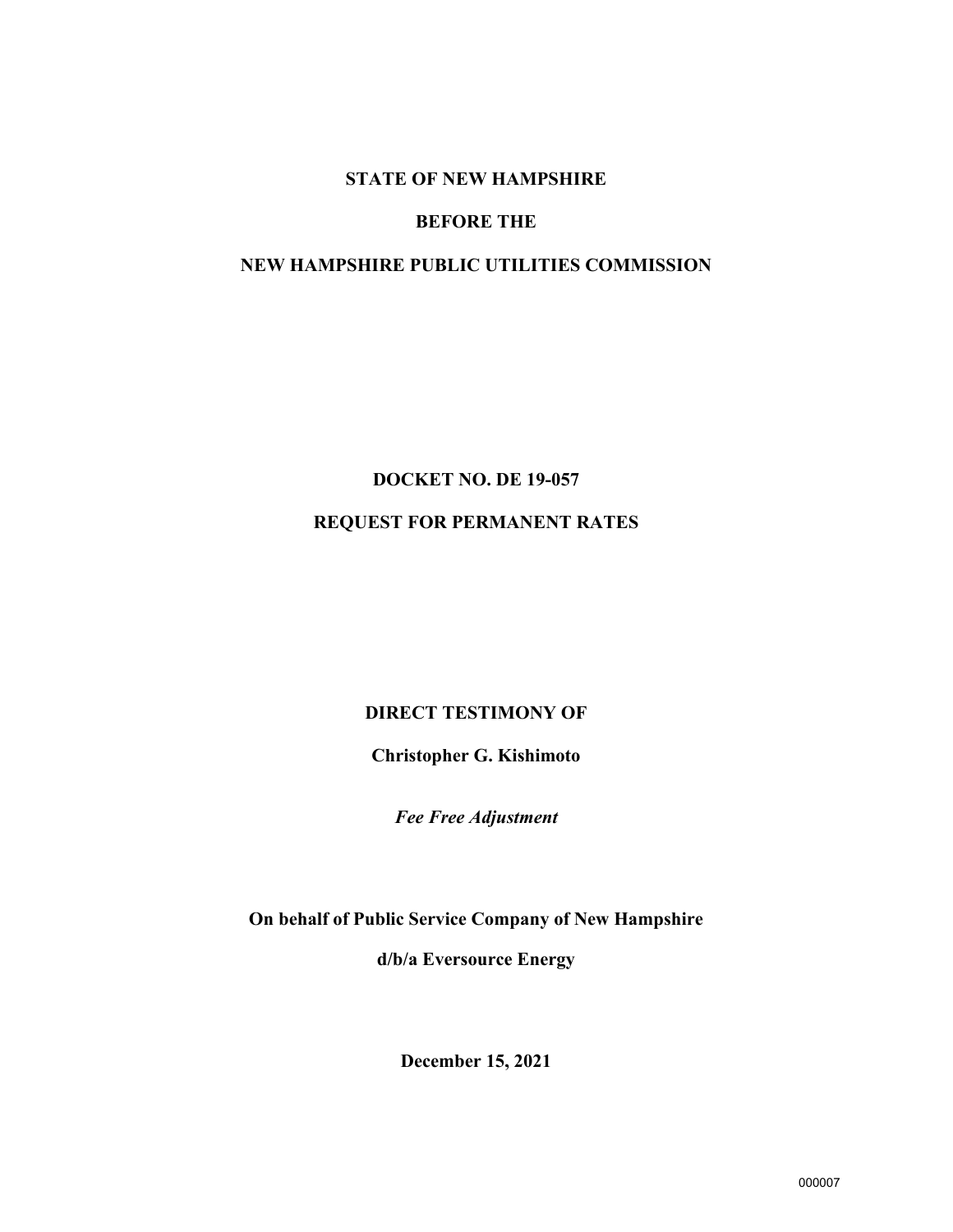#### **STATE OF NEW HAMPSHIRE**

### **BEFORE THE**

## **NEW HAMPSHIRE PUBLIC UTILITIES COMMISSION**

# **DOCKET NO. DE 19-057 REQUEST FOR PERMANENT RATES**

# **DIRECT TESTIMONY OF**

# **Christopher G. Kishimoto**

*Fee Free Adjustment*

**On behalf of Public Service Company of New Hampshire** 

**d/b/a Eversource Energy**

**December 15, 2021**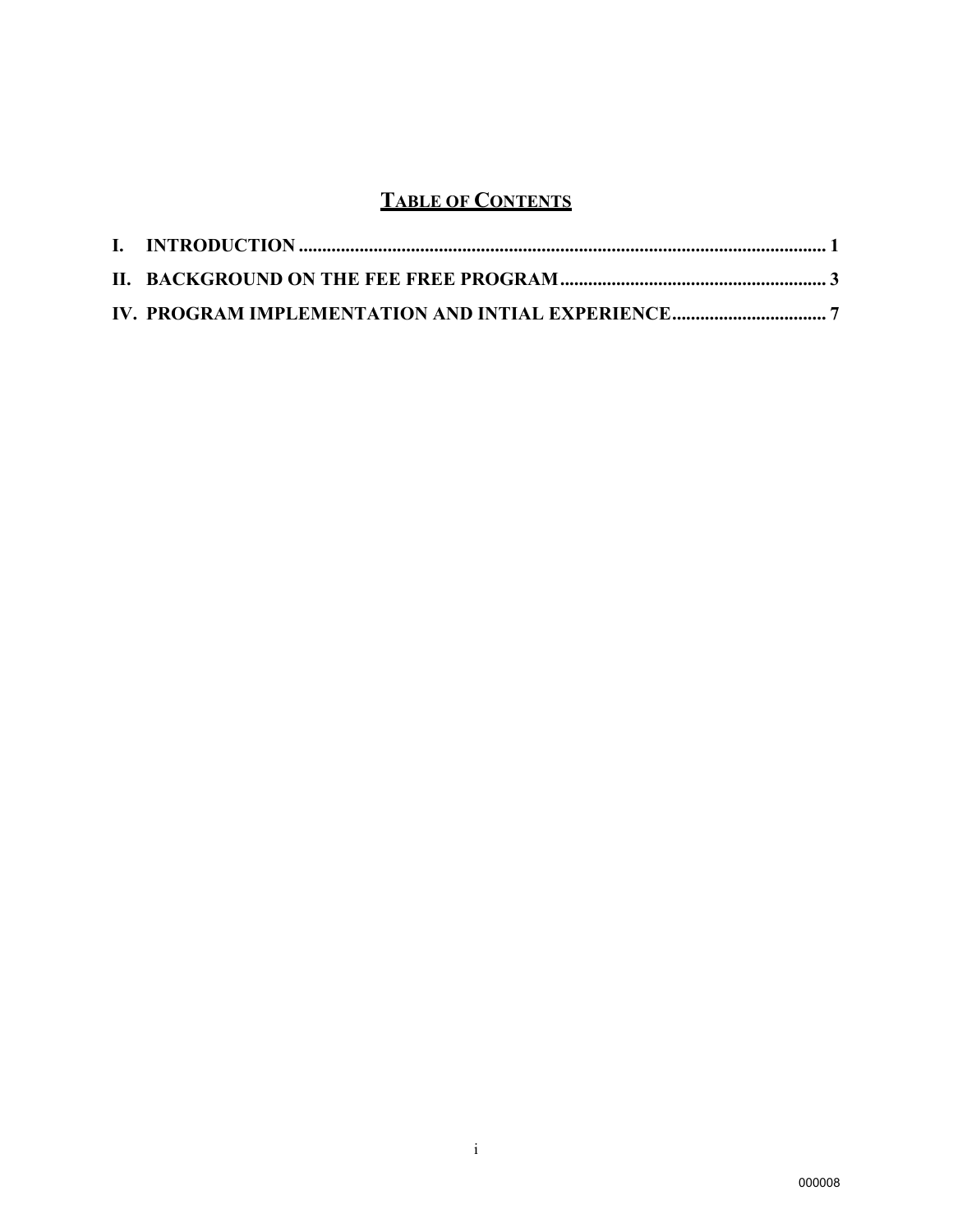# **TABLE OF CONTENTS**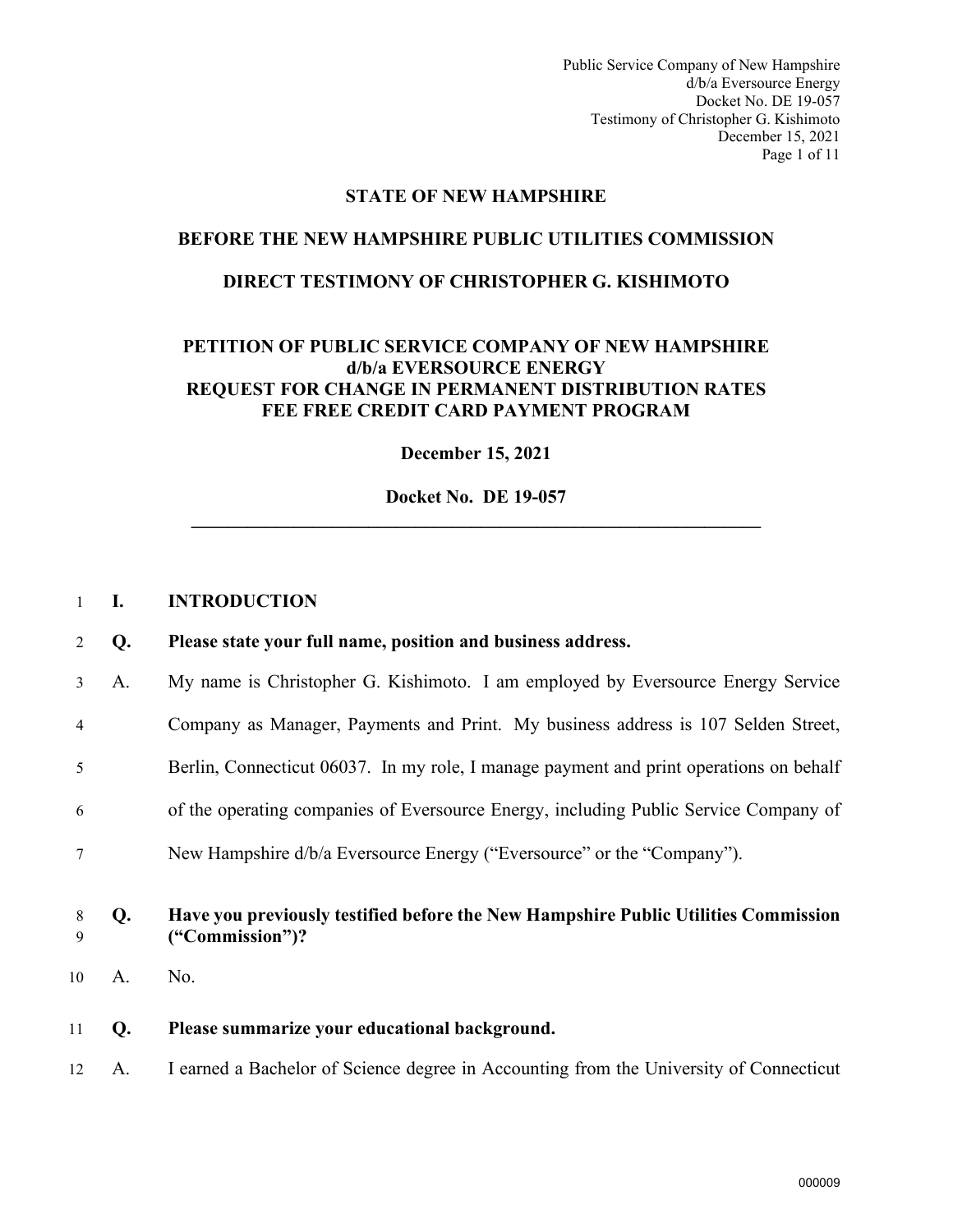Public Service Company of New Hampshire d/b/a Eversource Energy Docket No. DE 19-057 Testimony of Christopher G. Kishimoto December 15, 2021 Page 1 of 11

#### **STATE OF NEW HAMPSHIRE**

#### **BEFORE THE NEW HAMPSHIRE PUBLIC UTILITIES COMMISSION**

#### **DIRECT TESTIMONY OF CHRISTOPHER G. KISHIMOTO**

### **PETITION OF PUBLIC SERVICE COMPANY OF NEW HAMPSHIRE d/b/a EVERSOURCE ENERGY REQUEST FOR CHANGE IN PERMANENT DISTRIBUTION RATES FEE FREE CREDIT CARD PAYMENT PROGRAM**

**December 15, 2021** 

**Docket No. DE 19-057 \_\_\_\_\_\_\_\_\_\_\_\_\_\_\_\_\_\_\_\_\_\_\_\_\_\_\_\_\_\_\_\_\_\_\_\_\_\_\_\_\_\_\_\_\_\_\_\_\_\_\_\_\_\_\_\_\_\_\_\_\_** 

#### <span id="page-2-0"></span>1 **I. INTRODUCTION**

| 2              | Q. | Please state your full name, position and business address.                                           |
|----------------|----|-------------------------------------------------------------------------------------------------------|
| 3              | A. | My name is Christopher G. Kishimoto. I am employed by Eversource Energy Service                       |
| $\overline{4}$ |    | Company as Manager, Payments and Print. My business address is 107 Selden Street,                     |
| 5              |    | Berlin, Connecticut 06037. In my role, I manage payment and print operations on behalf                |
| 6              |    | of the operating companies of Eversource Energy, including Public Service Company of                  |
| 7              |    | New Hampshire d/b/a Eversource Energy ("Eversource" or the "Company").                                |
| 8<br>9         | Q. | Have you previously testified before the New Hampshire Public Utilities Commission<br>("Commission")? |
| 10             | A. | No.                                                                                                   |
| 11             | Q. | Please summarize your educational background.                                                         |
| 12             | A. | I earned a Bachelor of Science degree in Accounting from the University of Connecticut                |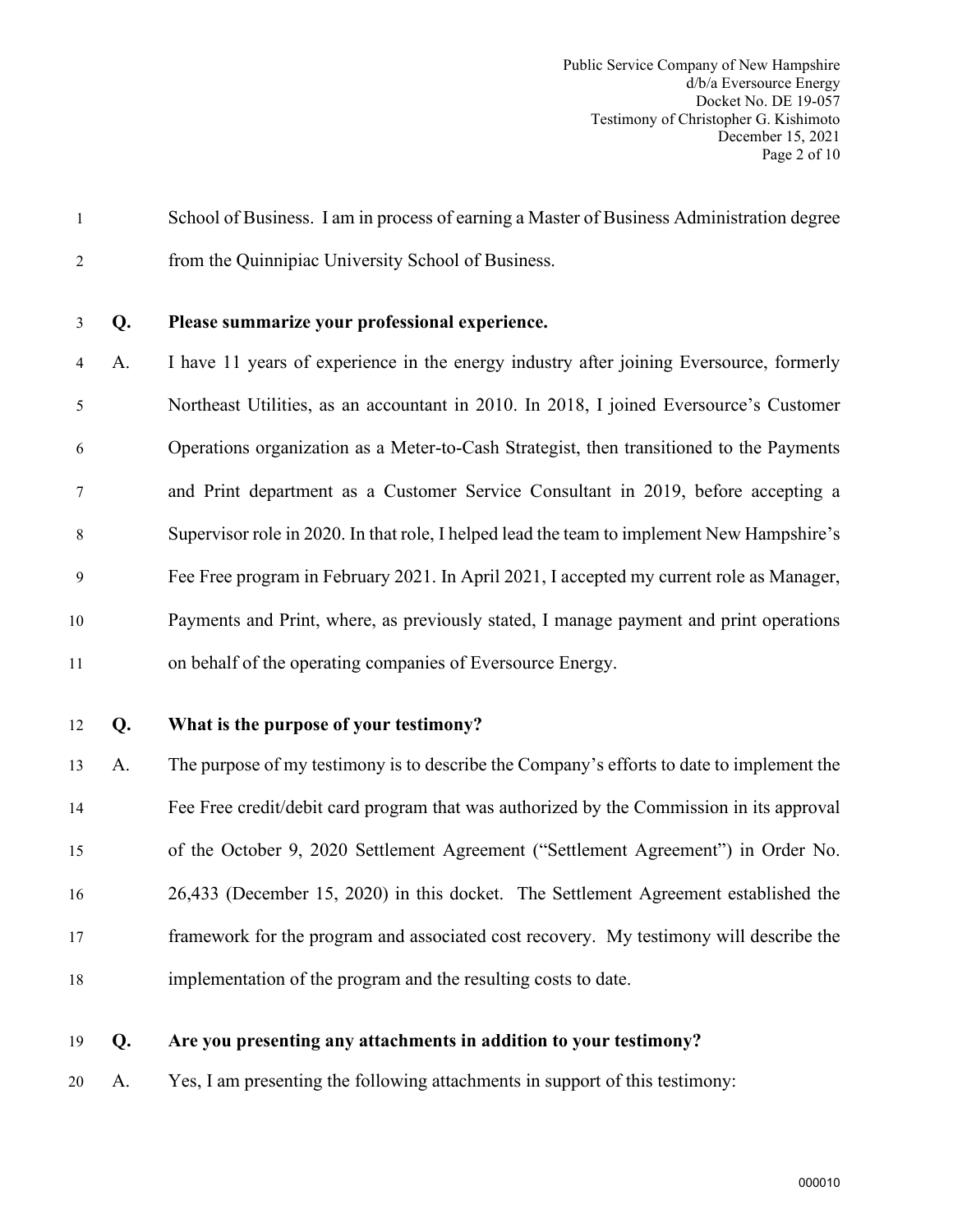| $\mathbf{1}$   |    | School of Business. I am in process of earning a Master of Business Administration degree  |
|----------------|----|--------------------------------------------------------------------------------------------|
| $\overline{2}$ |    | from the Quinnipiac University School of Business.                                         |
| $\mathfrak{Z}$ | Q. | Please summarize your professional experience.                                             |
| 4              | A. | I have 11 years of experience in the energy industry after joining Eversource, formerly    |
| 5              |    | Northeast Utilities, as an accountant in 2010. In 2018, I joined Eversource's Customer     |
| 6              |    | Operations organization as a Meter-to-Cash Strategist, then transitioned to the Payments   |
| 7              |    | and Print department as a Customer Service Consultant in 2019, before accepting a          |
| 8              |    | Supervisor role in 2020. In that role, I helped lead the team to implement New Hampshire's |
| 9              |    | Fee Free program in February 2021. In April 2021, I accepted my current role as Manager,   |
| $10\,$         |    | Payments and Print, where, as previously stated, I manage payment and print operations     |
| 11             |    | on behalf of the operating companies of Eversource Energy.                                 |
| 12             | Q. | What is the purpose of your testimony?                                                     |
| 13             | A. | The purpose of my testimony is to describe the Company's efforts to date to implement the  |
| 14             |    | Fee Free credit/debit card program that was authorized by the Commission in its approval   |
| 15             |    | of the October 9, 2020 Settlement Agreement ("Settlement Agreement") in Order No.          |
| 16             |    | 26,433 (December 15, 2020) in this docket. The Settlement Agreement established the        |
| 17             |    | framework for the program and associated cost recovery. My testimony will describe the     |

18 implementation of the program and the resulting costs to date.

# 19 **Q. Are you presenting any attachments in addition to your testimony?**

20 A. Yes, I am presenting the following attachments in support of this testimony: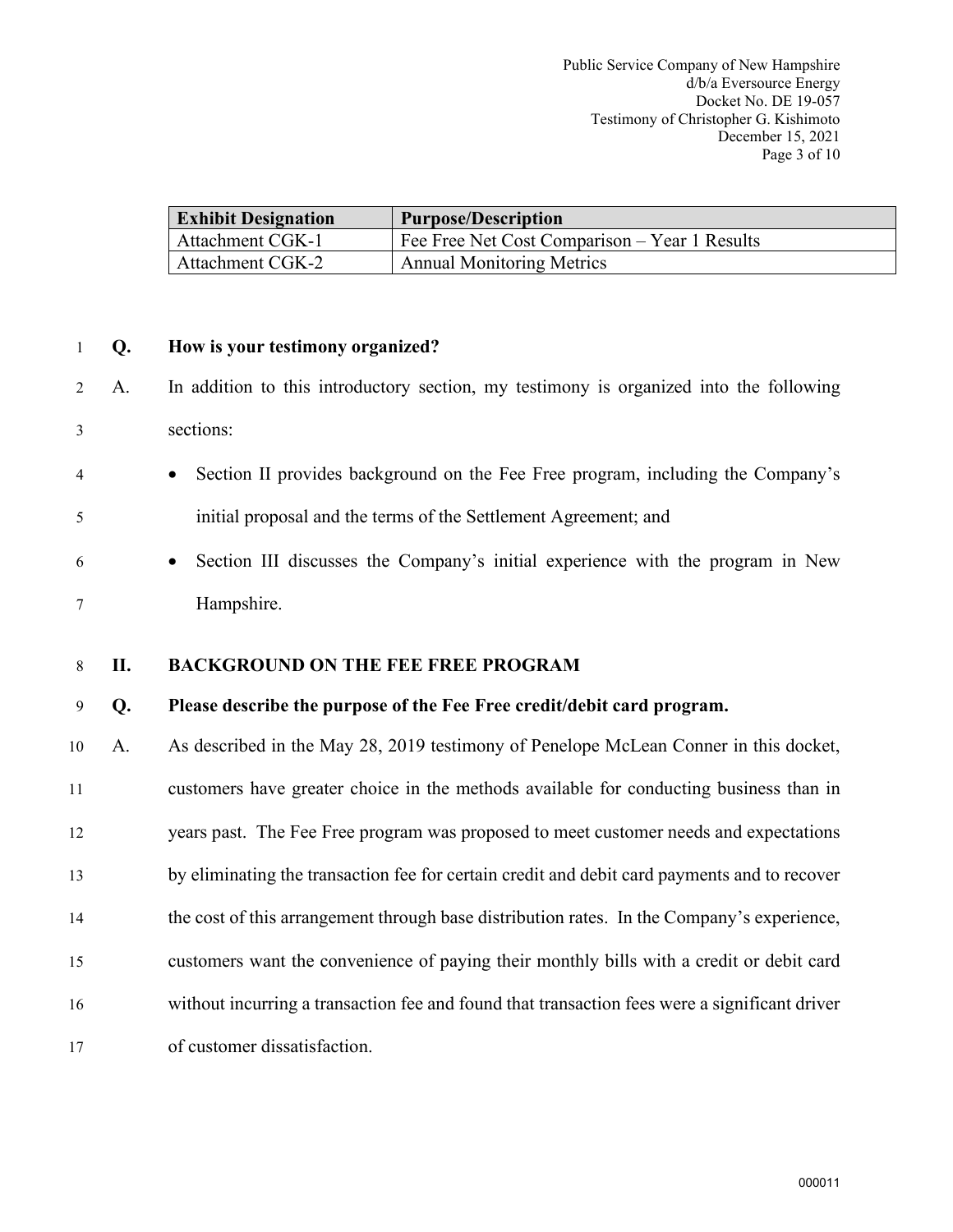| <b>Exhibit Designation</b> | <b>Purpose/Description</b>                    |  |
|----------------------------|-----------------------------------------------|--|
| Attachment CGK-1           | Fee Free Net Cost Comparison – Year 1 Results |  |
| Attachment CGK-2           | <b>Annual Monitoring Metrics</b>              |  |

#### 1 **Q. How is your testimony organized?**

- 2 A. In addition to this introductory section, my testimony is organized into the following 3 sections:
- 4 Section II provides background on the Fee Free program, including the Company's 5 initial proposal and the terms of the Settlement Agreement; and
- 6 Section III discusses the Company's initial experience with the program in New 7 Hampshire.

#### <span id="page-4-0"></span>8 **II. BACKGROUND ON THE FEE FREE PROGRAM**

#### 9 **Q. Please describe the purpose of the Fee Free credit/debit card program.**

 A. As described in the May 28, 2019 testimony of Penelope McLean Conner in this docket, customers have greater choice in the methods available for conducting business than in years past. The Fee Free program was proposed to meet customer needs and expectations by eliminating the transaction fee for certain credit and debit card payments and to recover the cost of this arrangement through base distribution rates. In the Company's experience, customers want the convenience of paying their monthly bills with a credit or debit card without incurring a transaction fee and found that transaction fees were a significant driver of customer dissatisfaction.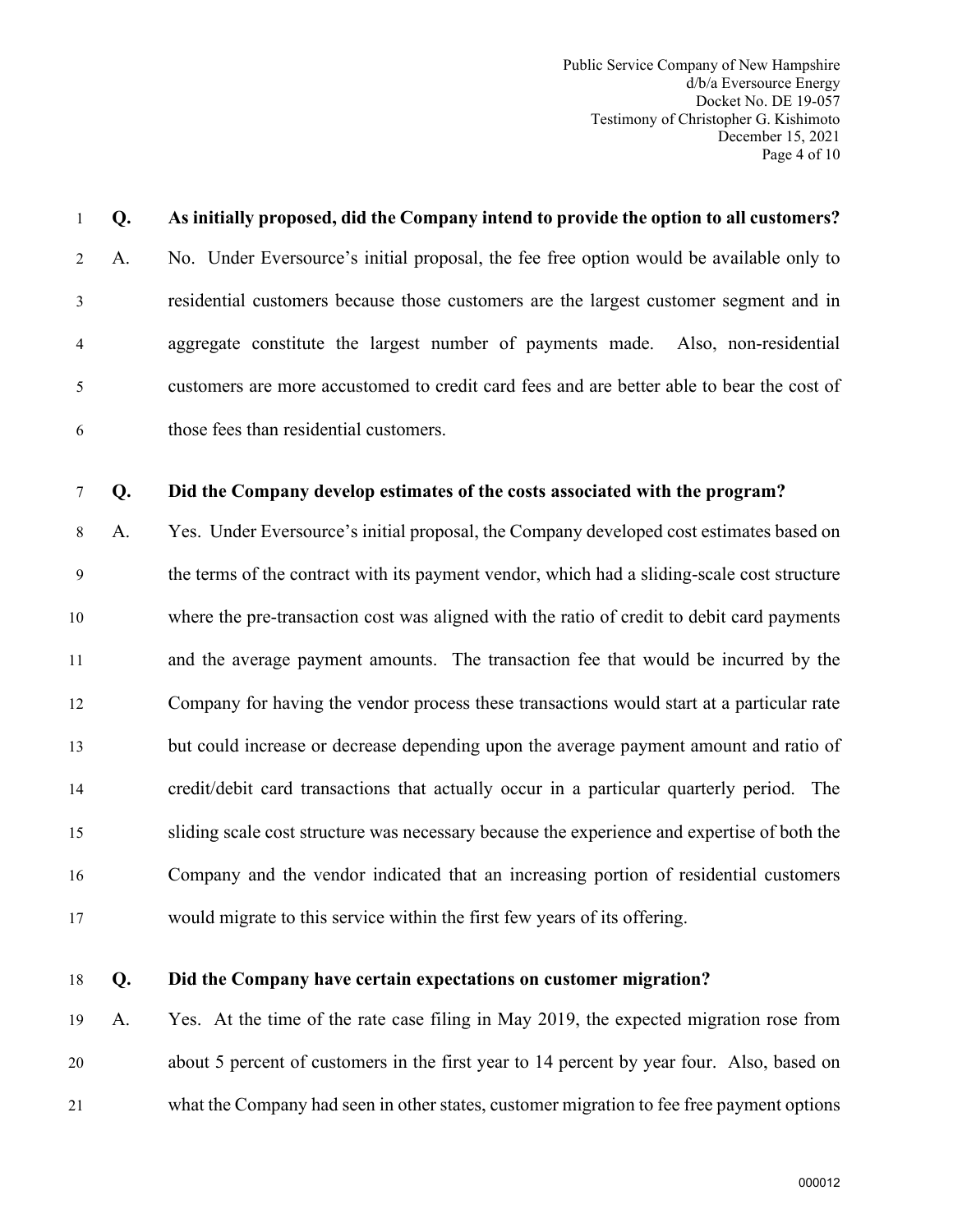| $\mathbf{1}$   | Q. | As initially proposed, did the Company intend to provide the option to all customers?       |
|----------------|----|---------------------------------------------------------------------------------------------|
| 2              | A. | No. Under Eversource's initial proposal, the fee free option would be available only to     |
| $\mathfrak{Z}$ |    | residential customers because those customers are the largest customer segment and in       |
| $\overline{4}$ |    | aggregate constitute the largest number of payments made. Also, non-residential             |
| 5              |    | customers are more accustomed to credit card fees and are better able to bear the cost of   |
| 6              |    | those fees than residential customers.                                                      |
| 7              | Q. | Did the Company develop estimates of the costs associated with the program?                 |
| 8              | A. | Yes. Under Eversource's initial proposal, the Company developed cost estimates based on     |
| 9              |    | the terms of the contract with its payment vendor, which had a sliding-scale cost structure |
| 10             |    | where the pre-transaction cost was aligned with the ratio of credit to debit card payments  |
| 11             |    | and the average payment amounts. The transaction fee that would be incurred by the          |
| 12             |    | Company for having the vendor process these transactions would start at a particular rate   |
| 13             |    | but could increase or decrease depending upon the average payment amount and ratio of       |
| 14             |    | credit/debit card transactions that actually occur in a particular quarterly period. The    |
| 15             |    | sliding scale cost structure was necessary because the experience and expertise of both the |
| 16             |    | Company and the vendor indicated that an increasing portion of residential customers        |

- 17 would migrate to this service within the first few years of its offering.
	-

#### 18 **Q. Did the Company have certain expectations on customer migration?**

19 A. Yes. At the time of the rate case filing in May 2019, the expected migration rose from 20 about 5 percent of customers in the first year to 14 percent by year four. Also, based on 21 what the Company had seen in other states, customer migration to fee free payment options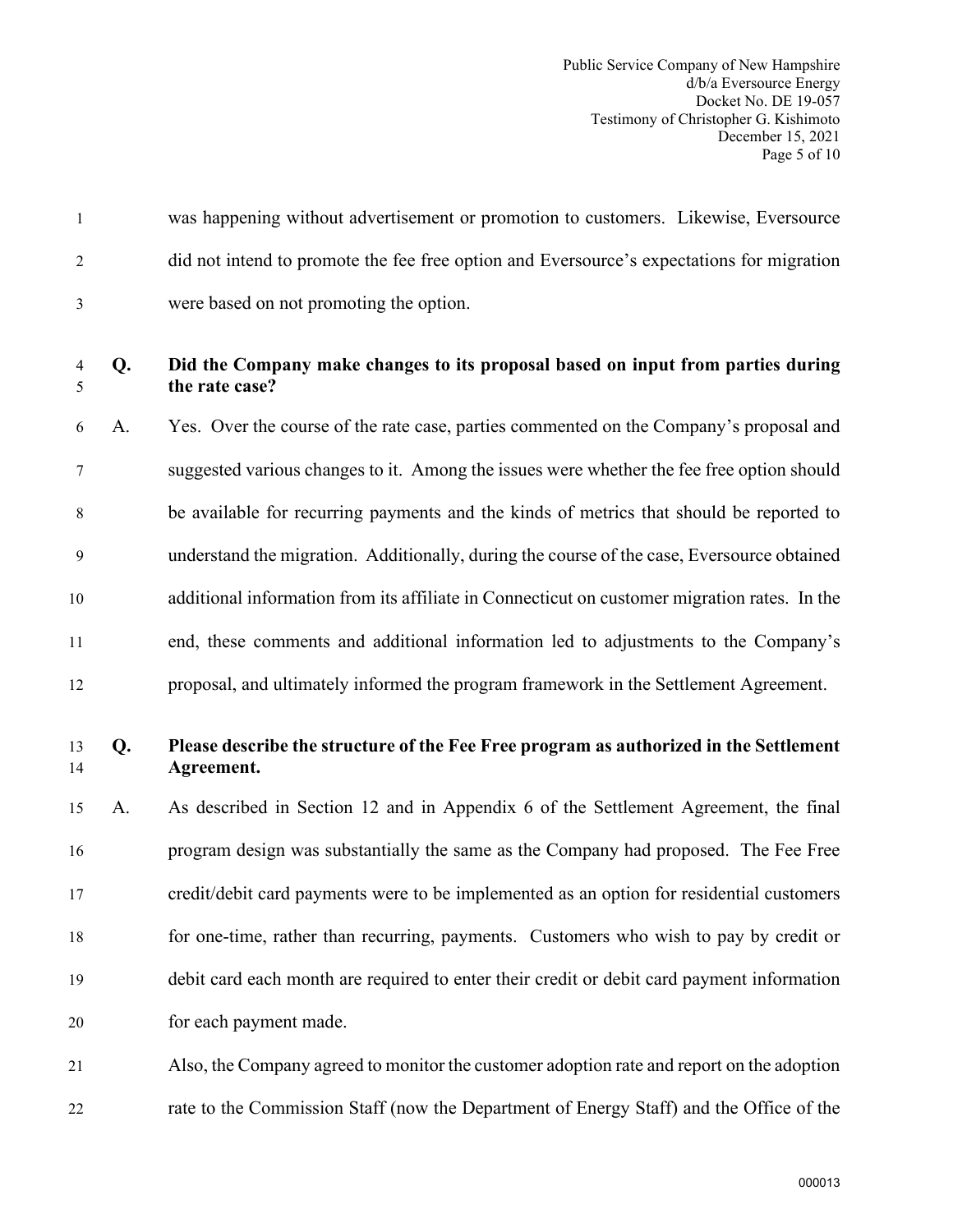Public Service Company of New Hampshire d/b/a Eversource Energy Docket No. DE 19-057 Testimony of Christopher G. Kishimoto December 15, 2021 Page 5 of 10

|   | Q. | Did the Company make changes to its proposal based on input from parties during<br>the rate case? |
|---|----|---------------------------------------------------------------------------------------------------|
| 3 |    | were based on not promoting the option.                                                           |
| 2 |    | did not intend to promote the fee free option and Eversource's expectations for migration         |
|   |    | was happening without advertisement or promotion to customers. Likewise, Eversource               |

6 A. Yes. Over the course of the rate case, parties commented on the Company's proposal and 7 suggested various changes to it. Among the issues were whether the fee free option should 8 be available for recurring payments and the kinds of metrics that should be reported to 9 understand the migration. Additionally, during the course of the case, Eversource obtained 10 additional information from its affiliate in Connecticut on customer migration rates. In the 11 end, these comments and additional information led to adjustments to the Company's 12 proposal, and ultimately informed the program framework in the Settlement Agreement.

# 13 **Q. Please describe the structure of the Fee Free program as authorized in the Settlement**  14 **Agreement.**

 A. As described in Section 12 and in Appendix 6 of the Settlement Agreement, the final program design was substantially the same as the Company had proposed. The Fee Free credit/debit card payments were to be implemented as an option for residential customers for one-time, rather than recurring, payments. Customers who wish to pay by credit or debit card each month are required to enter their credit or debit card payment information for each payment made.

# 21 Also, the Company agreed to monitor the customer adoption rate and report on the adoption 22 rate to the Commission Staff (now the Department of Energy Staff) and the Office of the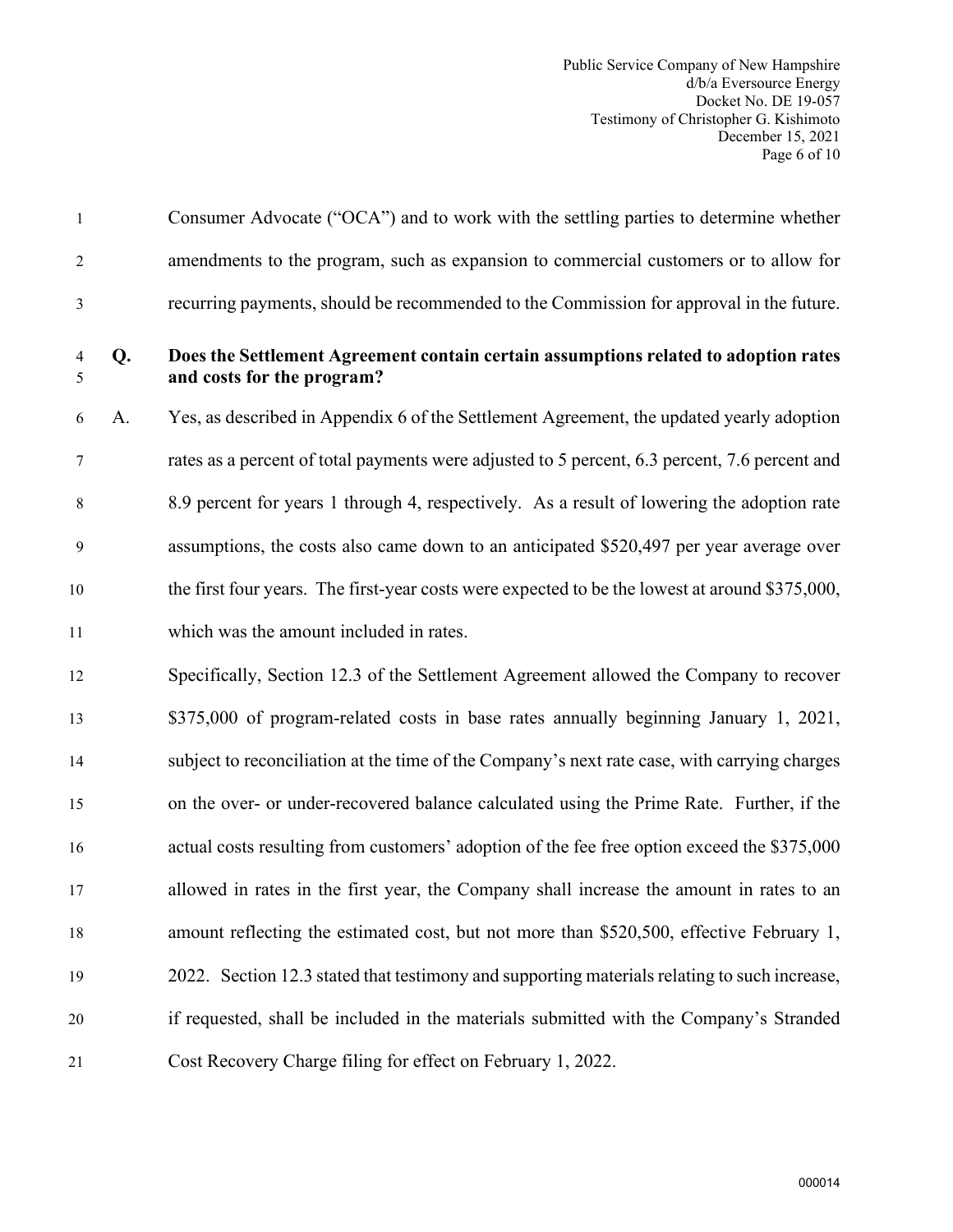Public Service Company of New Hampshire d/b/a Eversource Energy Docket No. DE 19-057 Testimony of Christopher G. Kishimoto December 15, 2021 Page 6 of 10

1 Consumer Advocate ("OCA") and to work with the settling parties to determine whether 2 amendments to the program, such as expansion to commercial customers or to allow for 3 recurring payments, should be recommended to the Commission for approval in the future.

## 4 **Q. Does the Settlement Agreement contain certain assumptions related to adoption rates**  5 **and costs for the program?**

6 A. Yes, as described in Appendix 6 of the Settlement Agreement, the updated yearly adoption 7 rates as a percent of total payments were adjusted to 5 percent, 6.3 percent, 7.6 percent and 8 8.9 percent for years 1 through 4, respectively. As a result of lowering the adoption rate 9 assumptions, the costs also came down to an anticipated \$520,497 per year average over 10 the first four years. The first-year costs were expected to be the lowest at around \$375,000, 11 which was the amount included in rates.

 Specifically, Section 12.3 of the Settlement Agreement allowed the Company to recover \$375,000 of program-related costs in base rates annually beginning January 1, 2021, subject to reconciliation at the time of the Company's next rate case, with carrying charges on the over- or under-recovered balance calculated using the Prime Rate. Further, if the 16 actual costs resulting from customers' adoption of the fee free option exceed the \$375,000 allowed in rates in the first year, the Company shall increase the amount in rates to an amount reflecting the estimated cost, but not more than \$520,500, effective February 1, 2022. Section 12.3 stated that testimony and supporting materials relating to such increase, if requested, shall be included in the materials submitted with the Company's Stranded Cost Recovery Charge filing for effect on February 1, 2022.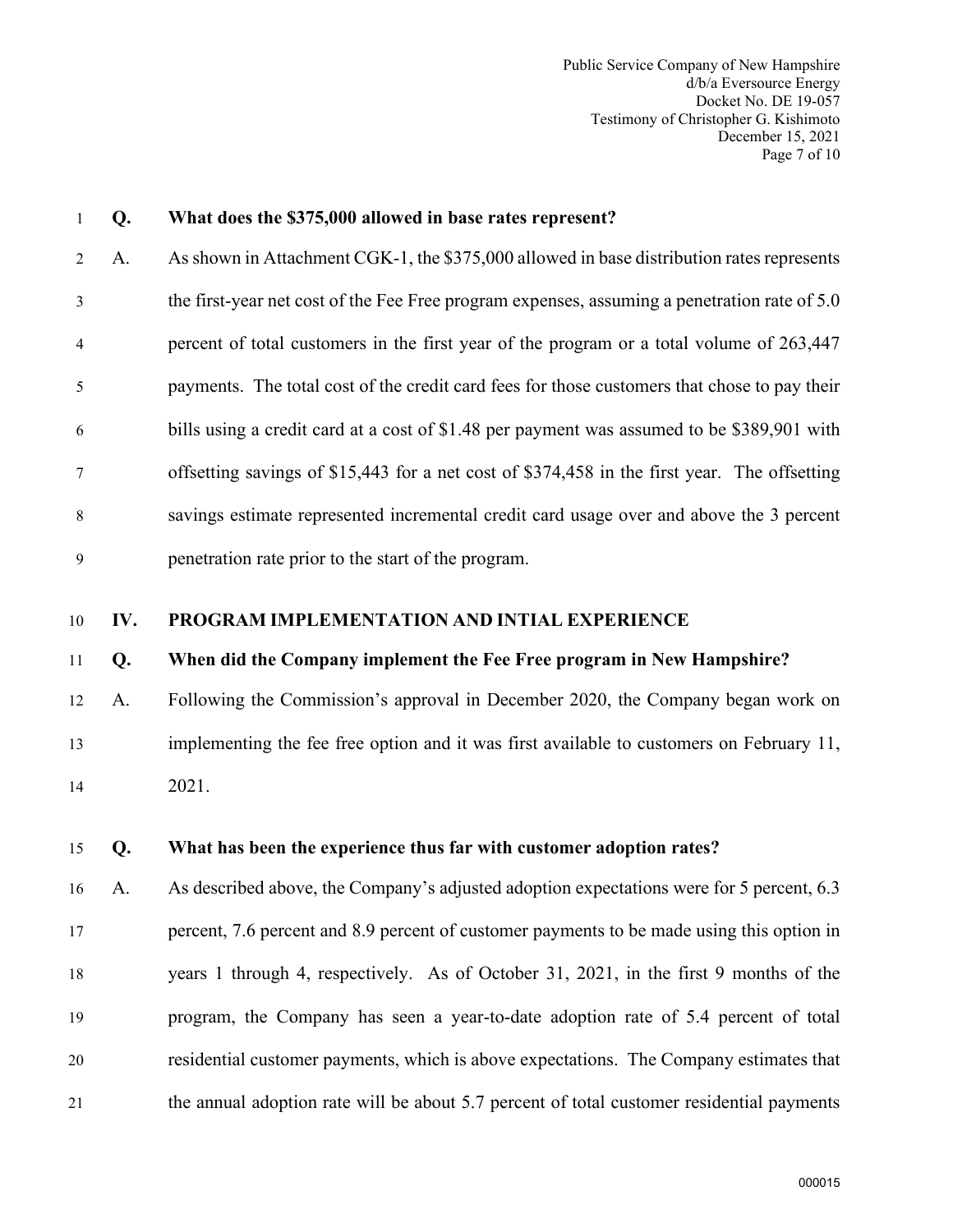Public Service Company of New Hampshire d/b/a Eversource Energy Docket No. DE 19-057 Testimony of Christopher G. Kishimoto December 15, 2021 Page 7 of 10

| $\mathbf{1}$   | Q. | What does the \$375,000 allowed in base rates represent?                                     |
|----------------|----|----------------------------------------------------------------------------------------------|
| 2              | A. | As shown in Attachment CGK-1, the \$375,000 allowed in base distribution rates represents    |
| $\mathbf{3}$   |    | the first-year net cost of the Fee Free program expenses, assuming a penetration rate of 5.0 |
| $\overline{4}$ |    | percent of total customers in the first year of the program or a total volume of 263,447     |
| 5              |    | payments. The total cost of the credit card fees for those customers that chose to pay their |
| 6              |    | bills using a credit card at a cost of \$1.48 per payment was assumed to be \$389,901 with   |
| $\tau$         |    | offsetting savings of \$15,443 for a net cost of \$374,458 in the first year. The offsetting |
| 8              |    | savings estimate represented incremental credit card usage over and above the 3 percent      |
| 9              |    | penetration rate prior to the start of the program.                                          |

## <span id="page-8-0"></span>10 **IV. PROGRAM IMPLEMENTATION AND INTIAL EXPERIENCE**

#### 11 **Q. When did the Company implement the Fee Free program in New Hampshire?**

12 A. Following the Commission's approval in December 2020, the Company began work on 13 implementing the fee free option and it was first available to customers on February 11, 14 2021.

#### 15 **Q. What has been the experience thus far with customer adoption rates?**

 A. As described above, the Company's adjusted adoption expectations were for 5 percent, 6.3 17 percent, 7.6 percent and 8.9 percent of customer payments to be made using this option in years 1 through 4, respectively. As of October 31, 2021, in the first 9 months of the program, the Company has seen a year-to-date adoption rate of 5.4 percent of total residential customer payments, which is above expectations. The Company estimates that the annual adoption rate will be about 5.7 percent of total customer residential payments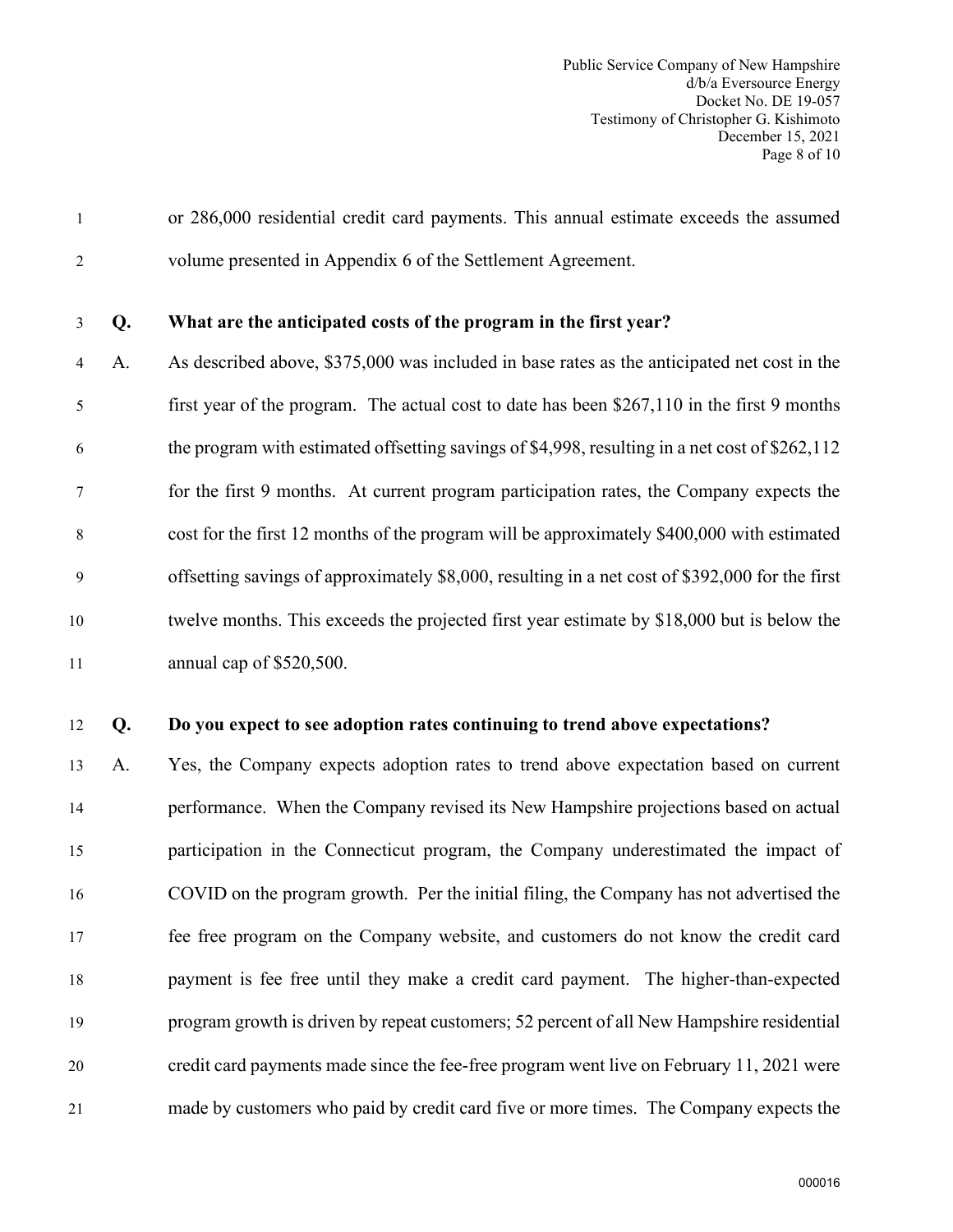1 or 286,000 residential credit card payments. This annual estimate exceeds the assumed 2 volume presented in Appendix 6 of the Settlement Agreement.

#### 3 **Q. What are the anticipated costs of the program in the first year?**

4 A. As described above, \$375,000 was included in base rates as the anticipated net cost in the 5 first year of the program. The actual cost to date has been \$267,110 in the first 9 months 6 the program with estimated offsetting savings of \$4,998, resulting in a net cost of \$262,112 7 for the first 9 months. At current program participation rates, the Company expects the 8 cost for the first 12 months of the program will be approximately \$400,000 with estimated 9 offsetting savings of approximately \$8,000, resulting in a net cost of \$392,000 for the first 10 twelve months. This exceeds the projected first year estimate by \$18,000 but is below the 11 annual cap of \$520,500.

#### 12 **Q. Do you expect to see adoption rates continuing to trend above expectations?**

 A. Yes, the Company expects adoption rates to trend above expectation based on current performance. When the Company revised its New Hampshire projections based on actual participation in the Connecticut program, the Company underestimated the impact of COVID on the program growth. Per the initial filing, the Company has not advertised the fee free program on the Company website, and customers do not know the credit card payment is fee free until they make a credit card payment. The higher-than-expected program growth is driven by repeat customers; 52 percent of all New Hampshire residential credit card payments made since the fee-free program went live on February 11, 2021 were made by customers who paid by credit card five or more times. The Company expects the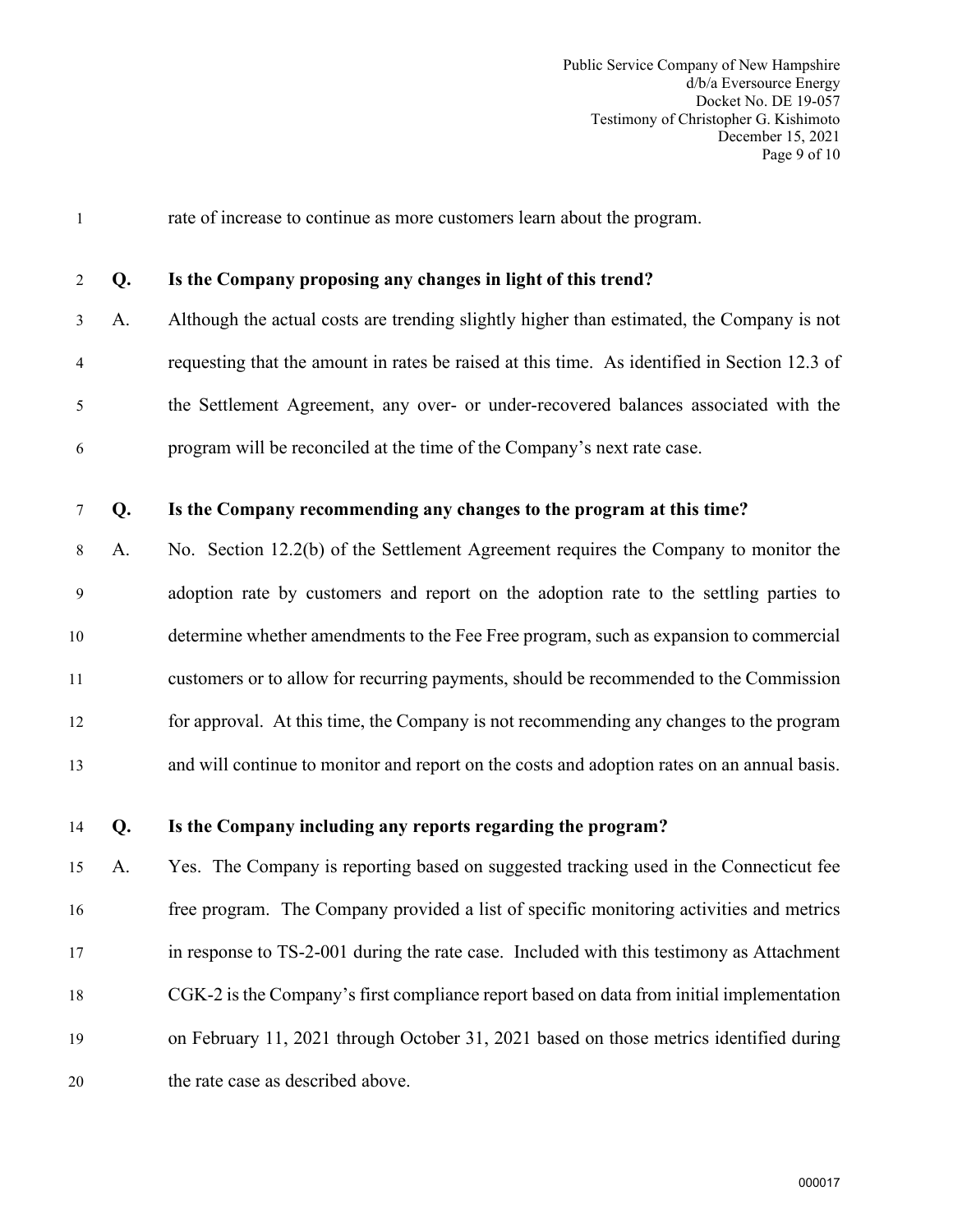| $\mathbf{1}$   |    | rate of increase to continue as more customers learn about the program.                      |
|----------------|----|----------------------------------------------------------------------------------------------|
| 2              | Q. | Is the Company proposing any changes in light of this trend?                                 |
| $\mathfrak{Z}$ | A. | Although the actual costs are trending slightly higher than estimated, the Company is not    |
| $\overline{4}$ |    | requesting that the amount in rates be raised at this time. As identified in Section 12.3 of |
| 5              |    | the Settlement Agreement, any over- or under-recovered balances associated with the          |
| 6              |    | program will be reconciled at the time of the Company's next rate case.                      |
| $\tau$         | Q. | Is the Company recommending any changes to the program at this time?                         |
| 8              | A. | No. Section 12.2(b) of the Settlement Agreement requires the Company to monitor the          |
| 9              |    | adoption rate by customers and report on the adoption rate to the settling parties to        |
| 10             |    | determine whether amendments to the Fee Free program, such as expansion to commercial        |
| 11             |    | customers or to allow for recurring payments, should be recommended to the Commission        |
| 12             |    | for approval. At this time, the Company is not recommending any changes to the program       |
| 13             |    | and will continue to monitor and report on the costs and adoption rates on an annual basis.  |
| 14             | Q. | Is the Company including any reports regarding the program?                                  |
| 15             | A. | Yes. The Company is reporting based on suggested tracking used in the Connecticut fee        |
| 16             |    | free program. The Company provided a list of specific monitoring activities and metrics      |
| 17             |    | in response to TS-2-001 during the rate case. Included with this testimony as Attachment     |
| 18             |    | CGK-2 is the Company's first compliance report based on data from initial implementation     |
| 19             |    | on February 11, 2021 through October 31, 2021 based on those metrics identified during       |
| 20             |    | the rate case as described above.                                                            |